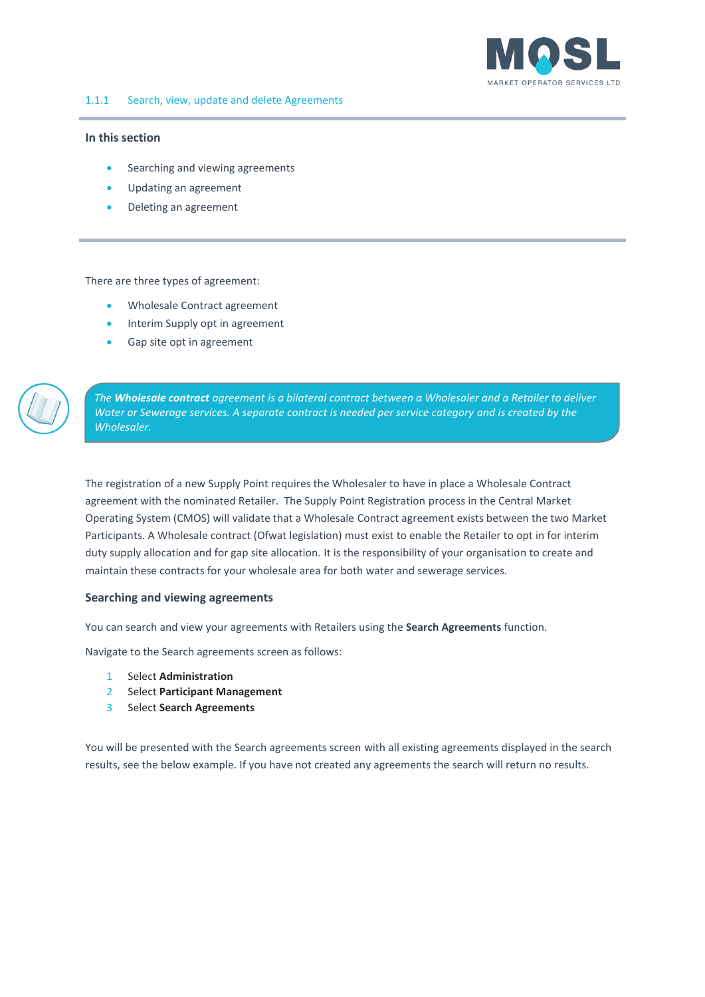

## <span id="page-0-0"></span>**In this section**

- Searching and viewing agreements
- Updating an agreement
- Deleting an agreement

There are three types of agreement:

- Wholesale Contract agreement
- Interim Supply opt in agreement
- Gap site opt in agreement

*The Wholesale contract agreement is a bilateral contract between a Wholesaler and a Retailer to deliver Water or Sewerage services. A separate contract is needed per service category and is created by the Wholesaler.*

The registration of a new Supply Point requires the Wholesaler to have in place a Wholesale Contract agreement with the nominated Retailer. The Supply Point Registration process in the Central Market Operating System (CMOS) will validate that a Wholesale Contract agreement exists between the two Market Participants. A Wholesale contract (Ofwat legislation) must exist to enable the Retailer to opt in for interim duty supply allocation and for gap site allocation. It is the responsibility of your organisation to create and maintain these contracts for your wholesale area for both water and sewerage services.

## **Searching and viewing agreements**

You can search and view your agreements with Retailers using the **Search Agreements** function.

Navigate to the Search agreements screen as follows:

- 1 Select **Administration**
- 2 Select **Participant Management**
- 3 Select **Search Agreements**

You will be presented with the Search agreements screen with all existing agreements displayed in the search results, see the below example. If you have not created any agreements the search will return no results.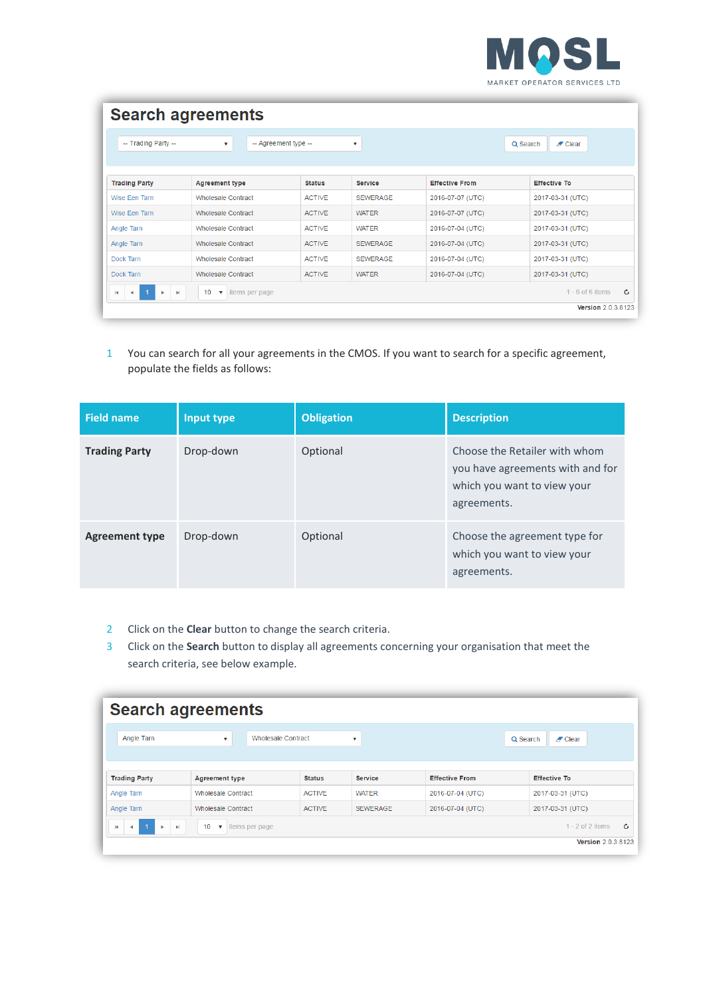

| <b>Search agreements</b>                                  |                                                                |                      |                           |                       |                                                      |
|-----------------------------------------------------------|----------------------------------------------------------------|----------------------|---------------------------|-----------------------|------------------------------------------------------|
| -- Trading Party --                                       | $\boldsymbol{\mathrm{v}}$                                      | -- Agreement type -- | $\boldsymbol{\mathrm{v}}$ |                       | Q Search<br>$\blacktriangleright$ Clear              |
| <b>Trading Party</b>                                      | <b>Agreement type</b>                                          | <b>Status</b>        | <b>Service</b>            | <b>Effective From</b> | <b>Effective To</b>                                  |
| Wise Een Tarn                                             | <b>Wholesale Contract</b>                                      | <b>ACTIVE</b>        | <b>SEWERAGE</b>           | 2016-07-07 (UTC)      | 2017-03-31 (UTC)                                     |
| Wise Een Tarn                                             | <b>Wholesale Contract</b>                                      | <b>ACTIVE</b>        | <b>WATER</b>              | 2016-07-07 (UTC)      | 2017-03-31 (UTC)                                     |
| Angle Tarn                                                | <b>Wholesale Contract</b>                                      | <b>ACTIVE</b>        | <b>WATER</b>              | 2016-07-04 (UTC)      | 2017-03-31 (UTC)                                     |
| Angle Tarn                                                | <b>Wholesale Contract</b>                                      | <b>ACTIVE</b>        | <b>SFWFRAGF</b>           | 2016-07-04 (UTC)      | 2017-03-31 (UTC)                                     |
| Dock Tarn                                                 | <b>Wholesale Contract</b>                                      | <b>ACTIVE</b>        | <b>SEWERAGE</b>           | 2016-07-04 (UTC)      | 2017-03-31 (UTC)                                     |
| Dock Tarn                                                 | <b>Wholesale Contract</b>                                      | <b>ACTIVE</b>        | <b>WATER</b>              | 2016-07-04 (UTC)      | 2017-03-31 (UTC)                                     |
| $\vert \cdot \vert$<br>$\left\vert \mathbf{r}\right\vert$ | 10 <sup>1</sup><br>items per page<br>$\boldsymbol{\mathrm{v}}$ |                      |                           |                       | Ċ<br>$1 - 6$ of 6 items<br><b>Version 2.0.3.8123</b> |

1 You can search for all your agreements in the CMOS. If you want to search for a specific agreement, populate the fields as follows:

| <b>Field name</b>     | Input type | <b>Obligation</b> | <b>Description</b>                                                                                              |
|-----------------------|------------|-------------------|-----------------------------------------------------------------------------------------------------------------|
| <b>Trading Party</b>  | Drop-down  | Optional          | Choose the Retailer with whom<br>you have agreements with and for<br>which you want to view your<br>agreements. |
| <b>Agreement type</b> | Drop-down  | Optional          | Choose the agreement type for<br>which you want to view your<br>agreements.                                     |

- 2 Click on the **Clear** button to change the search criteria.
- 3 Click on the **Search** button to display all agreements concerning your organisation that meet the search criteria, see below example.

|                                                  | <b>Search agreements</b>                                                          |                           |                           |                       |                                                      |
|--------------------------------------------------|-----------------------------------------------------------------------------------|---------------------------|---------------------------|-----------------------|------------------------------------------------------|
| Angle Tarn                                       | $\overline{\mathbf{v}}$                                                           | <b>Wholesale Contract</b> | $\boldsymbol{\mathrm{v}}$ |                       | Q Search<br>$\mathscr{I}$ Clear                      |
| <b>Trading Party</b>                             | <b>Agreement type</b>                                                             | <b>Status</b>             | <b>Service</b>            | <b>Effective From</b> | <b>Effective To</b>                                  |
| Angle Tarn                                       | <b>Wholesale Contract</b>                                                         | <b>ACTIVE</b>             | WATER                     | 2016-07-04 (UTC)      | 2017-03-31 (UTC)                                     |
| Angle Tarn                                       | <b>Wholesale Contract</b>                                                         | <b>ACTIVE</b>             | <b>SEWERAGE</b>           | 2016-07-04 (UTC)      | 2017-03-31 (UTC)                                     |
| t a t<br>$-1$<br>$\rightarrow$<br>$\blacksquare$ | $\left\vert \nu \right\vert$<br>10<br>items per page<br>$\boldsymbol{\mathrm{v}}$ |                           |                           |                       | Ô<br>$1 - 2$ of 2 items<br><b>Version 2.0.3.8123</b> |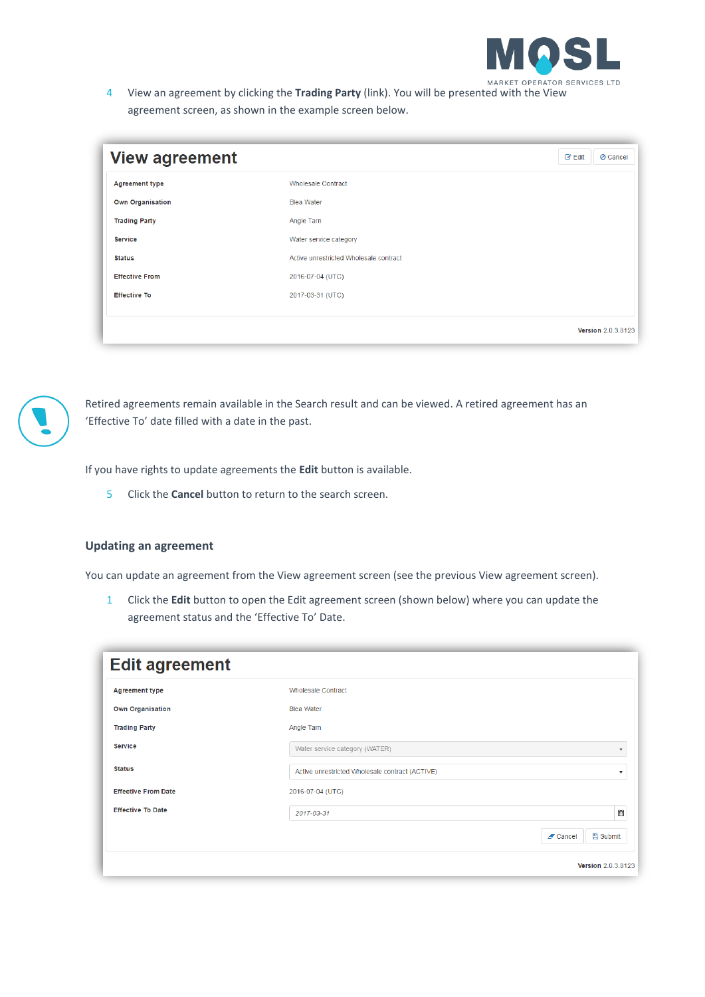

4 View an agreement by clicking the **Trading Party** (link). You will be presented with the View agreement screen, as shown in the example screen below.

| <b>View agreement</b>   |                                        | $\mathbb{Z}$ Edit<br><b>⊘</b> Cancel |
|-------------------------|----------------------------------------|--------------------------------------|
| <b>Agreement type</b>   | <b>Wholesale Contract</b>              |                                      |
| <b>Own Organisation</b> | <b>Blea Water</b>                      |                                      |
| <b>Trading Party</b>    | Angle Tarn                             |                                      |
| <b>Service</b>          | Water service category                 |                                      |
| <b>Status</b>           | Active unrestricted Wholesale contract |                                      |
| <b>Effective From</b>   | 2016-07-04 (UTC)                       |                                      |
| <b>Effective To</b>     | 2017-03-31 (UTC)                       |                                      |
|                         |                                        |                                      |
|                         |                                        | <b>Version 2.0.3.8123</b>            |



Retired agreements remain available in the Search result and can be viewed. A retired agreement has an 'Effective To' date filled with a date in the past.

If you have rights to update agreements the **Edit** button is available.

5 Click the **Cancel** button to return to the search screen.

## **Updating an agreement**

You can update an agreement from the View agreement screen (see the previous View agreement screen).

1 Click the **Edit** button to open the Edit agreement screen (shown below) where you can update the agreement status and the 'Effective To' Date.

| <b>Edit agreement</b>      |                                                 |                               |
|----------------------------|-------------------------------------------------|-------------------------------|
| <b>Agreement type</b>      | <b>Wholesale Contract</b>                       |                               |
| <b>Own Organisation</b>    | <b>Blea Water</b>                               |                               |
| <b>Trading Party</b>       | Angle Tarn                                      |                               |
| <b>Service</b>             | Water service category (WATER)                  | $\overline{\mathbf{v}}$       |
| <b>Status</b>              | Active unrestricted Wholesale contract (ACTIVE) | $\overline{\mathbf{v}}$       |
| <b>Effective From Date</b> | 2016-07-04 (UTC)                                |                               |
| <b>Effective To Date</b>   | 2017-03-31                                      | 圍                             |
|                            |                                                 | <b>图 Submit</b><br>$Z$ Cancel |
|                            |                                                 | Version 2.0.3.8123            |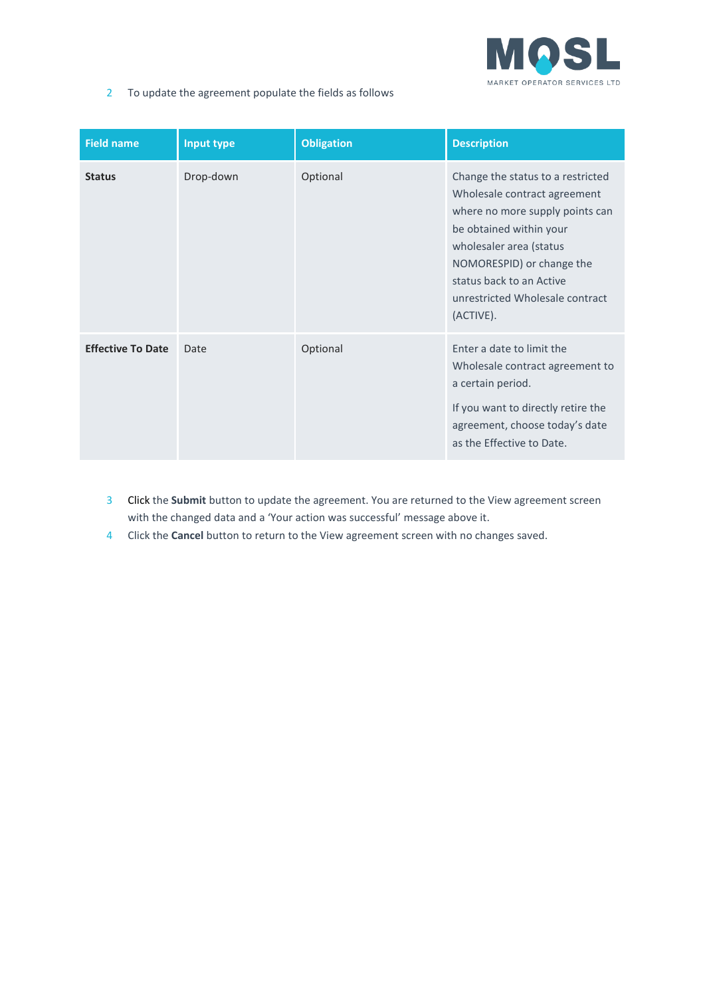

2 To update the agreement populate the fields as follows

| <b>Field name</b>        | Input type | <b>Obligation</b> | <b>Description</b>                                                                                                                                                                                                                                                  |
|--------------------------|------------|-------------------|---------------------------------------------------------------------------------------------------------------------------------------------------------------------------------------------------------------------------------------------------------------------|
| <b>Status</b>            | Drop-down  | Optional          | Change the status to a restricted<br>Wholesale contract agreement<br>where no more supply points can<br>be obtained within your<br>wholesaler area (status<br>NOMORESPID) or change the<br>status back to an Active<br>unrestricted Wholesale contract<br>(ACTIVE). |
| <b>Effective To Date</b> | Date       | Optional          | Enter a date to limit the<br>Wholesale contract agreement to<br>a certain period.<br>If you want to directly retire the<br>agreement, choose today's date<br>as the Effective to Date.                                                                              |

- 3 Click the **Submit** button to update the agreement. You are returned to the View agreement screen with the changed data and a 'Your action was successful' message above it.
- 4 Click the **Cancel** button to return to the View agreement screen with no changes saved.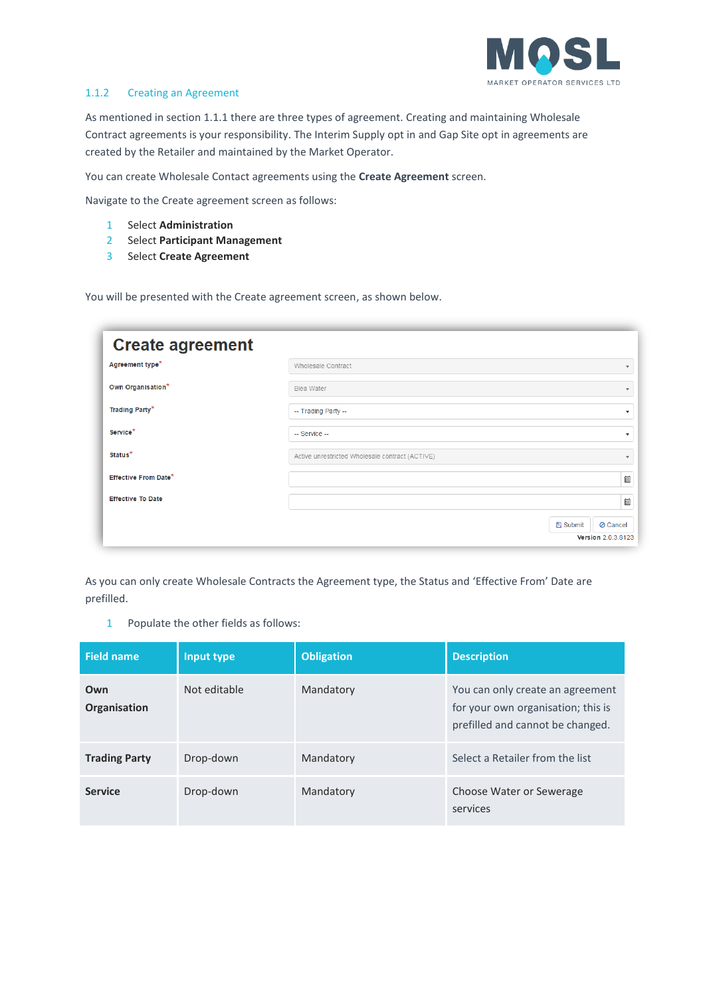

## 1.1.2 Creating an Agreement

As mentioned in section [1.1.1](#page-0-0) there are three types of agreement. Creating and maintaining Wholesale Contract agreements is your responsibility. The Interim Supply opt in and Gap Site opt in agreements are created by the Retailer and maintained by the Market Operator.

You can create Wholesale Contact agreements using the **Create Agreement** screen.

Navigate to the Create agreement screen as follows:

- 1 Select **Administration**
- 2 Select **Participant Management**
- 3 Select **Create Agreement**

You will be presented with the Create agreement screen, as shown below.

| <b>Create agreement</b>     |                                                                 |
|-----------------------------|-----------------------------------------------------------------|
| Agreement type <sup>*</sup> | Wholesale Contract                                              |
| Own Organisation*           | Blea Water                                                      |
| <b>Trading Party*</b>       | -- Trading Party --                                             |
| Service*                    | -- Service --                                                   |
| Status <sup>*</sup>         | Active unrestricted Wholesale contract (ACTIVE)                 |
| Effective From Date*        | 圃                                                               |
| <b>Effective To Date</b>    | 圖                                                               |
|                             | <b>A</b> Submit<br><b>⊘</b> Cancel<br><b>Version 2.0.3.8123</b> |

As you can only create Wholesale Contracts the Agreement type, the Status and 'Effective From' Date are prefilled.

1 Populate the other fields as follows:

| <b>Field name</b>    | Input type   | <b>Obligation</b> | <b>Description</b>                                                                                         |
|----------------------|--------------|-------------------|------------------------------------------------------------------------------------------------------------|
| Own<br>Organisation  | Not editable | Mandatory         | You can only create an agreement<br>for your own organisation; this is<br>prefilled and cannot be changed. |
| <b>Trading Party</b> | Drop-down    | Mandatory         | Select a Retailer from the list                                                                            |
| <b>Service</b>       | Drop-down    | Mandatory         | Choose Water or Sewerage<br>services                                                                       |